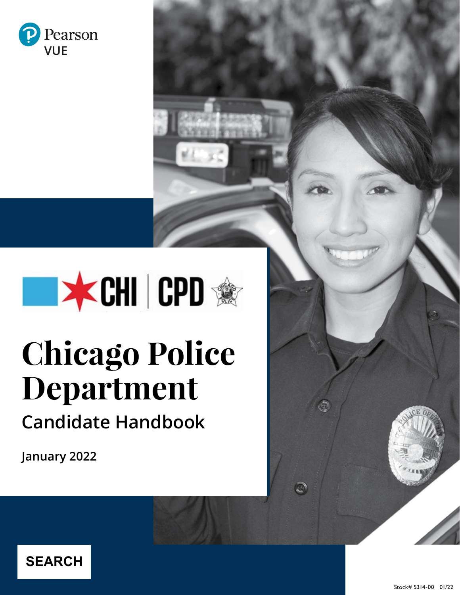



# **Chicago Police Department Candidate Handbook**

**January 2022**

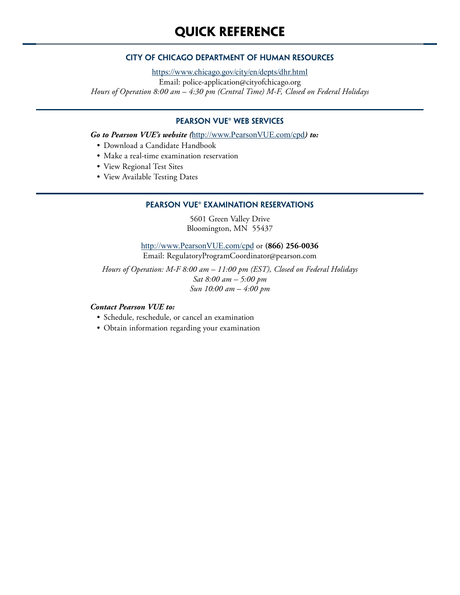### **CITY OF CHICAGO DEPARTMENT OF HUMAN RESOURCES**

<https://www.chicago.gov/city/en/depts/dhr.html> Email: police-application@cityofchicago.org *Hours of Operation 8:00 am – 4:30 pm (Central Time) M-F, Closed on Federal Holidays*

### **PEARSON VUE® WEB SERVICES**

*Go to Pearson VUE's website (*[http://www.PearsonVUE.com/c](http://www.PearsonVUE.com/cpd)pd*) to:*

- Download a Candidate Handbook
- Make a real-time examination reservation
- View Regional Test Sites
- View Available Testing Dates

#### **PEARSON VUE® EXAMINATION RESERVATIONS**

5601 Green Valley Drive Bloomington, MN 55437

[http://www.PearsonVUE.com/](http://www.PearsonVUE.com/cpd)cpd or **(866) 256-0036** Email: RegulatoryProgramCoordinator@pearson.com

*Hours of Operation: M-F 8:00 am – 11:00 pm (EST), Closed on Federal Holidays Sat 8:00 am – 5:00 pm Sun 10:00 am – 4:00 pm* 

#### *Contact Pearson VUE to:*

- Schedule, reschedule, or cancel an examination
- Obtain information regarding your examination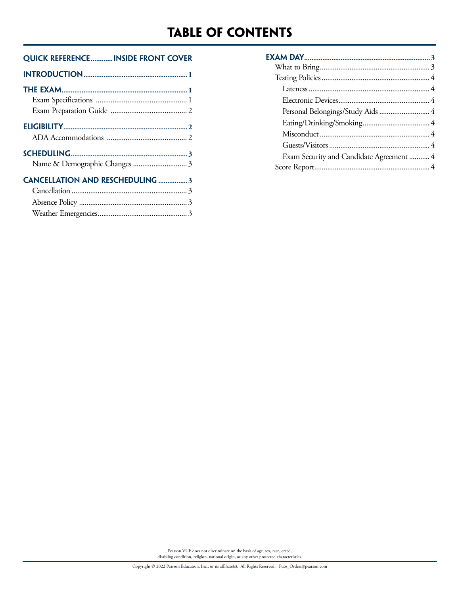### **Table of Contents**

### **Quick Reference............inside front cover**

| <b>CANCELLATION AND RESCHEDULING 3</b> |  |
|----------------------------------------|--|
|                                        |  |
|                                        |  |
|                                        |  |
|                                        |  |

| Exam Security and Candidate Agreement  4 |  |
|------------------------------------------|--|
|                                          |  |

Pearson VUE does not discriminate on the basis of age, sex, race, creed, disabling condition, religion, national origin, or any other protected characteristics.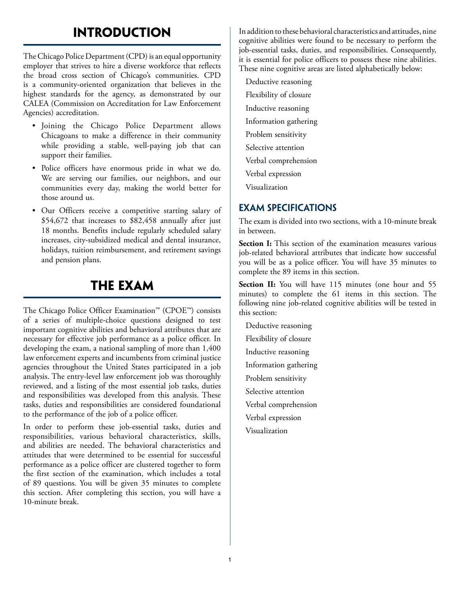## **Introduction**

The Chicago Police Department (CPD) is an equal opportunity employer that strives to hire a diverse workforce that reflects the broad cross section of Chicago's communities. CPD is a community-oriented organization that believes in the highest standards for the agency, as demonstrated by our CALEA (Commission on Accreditation for Law Enforcement Agencies) accreditation.

- Joining the Chicago Police Department allows Chicagoans to make a difference in their community while providing a stable, well-paying job that can support their families.
- Police officers have enormous pride in what we do. We are serving our families, our neighbors, and our communities every day, making the world better for those around us.
- Our Officers receive a competitive starting salary of \$54,672 that increases to \$82,458 annually after just 18 months. Benefits include regularly scheduled salary increases, city-subsidized medical and dental insurance, holidays, tuition reimbursement, and retirement savings and pension plans.

### **the exam**

The Chicago Police Officer Examination™ (CPOE™) consists of a series of multiple-choice questions designed to test important cognitive abilities and behavioral attributes that are necessary for effective job performance as a police officer. In developing the exam, a national sampling of more than 1,400 law enforcement experts and incumbents from criminal justice agencies throughout the United States participated in a job analysis. The entry-level law enforcement job was thoroughly reviewed, and a listing of the most essential job tasks, duties and responsibilities was developed from this analysis. These tasks, duties and responsibilities are considered foundational to the performance of the job of a police officer.

In order to perform these job-essential tasks, duties and responsibilities, various behavioral characteristics, skills, and abilities are needed. The behavioral characteristics and attitudes that were determined to be essential for successful performance as a police officer are clustered together to form the first section of the examination, which includes a total of 89 questions. You will be given 35 minutes to complete this section. After completing this section, you will have a 10-minute break.

In addition to these behavioral characteristics and attitudes, nine cognitive abilities were found to be necessary to perform the job-essential tasks, duties, and responsibilities. Consequently, it is essential for police officers to possess these nine abilities. These nine cognitive areas are listed alphabetically below:

Deductive reasoning Flexibility of closure Inductive reasoning Information gathering Problem sensitivity Selective attention Verbal comprehension Verbal expression Visualization

### **EXAM SPECIFICATIONS**

The exam is divided into two sections, with a 10-minute break in between.

**Section I:** This section of the examination measures various job-related behavioral attributes that indicate how successful you will be as a police officer. You will have 35 minutes to complete the 89 items in this section.

**Section II:** You will have 115 minutes (one hour and 55 minutes) to complete the 61 items in this section. The following nine job-related cognitive abilities will be tested in this section:

Deductive reasoning Flexibility of closure Inductive reasoning Information gathering Problem sensitivity Selective attention Verbal comprehension Verbal expression Visualization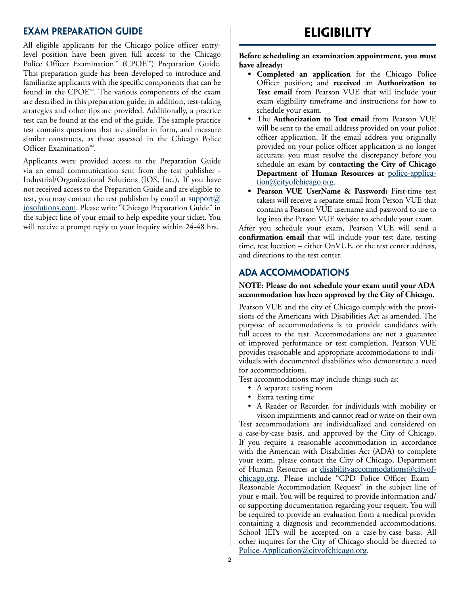### **EXAM PREPARATION GUIDE**

All eligible applicants for the Chicago police officer entrylevel position have been given full access to the Chicago Police Officer Examination™ (CPOE™) Preparation Guide. This preparation guide has been developed to introduce and familiarize applicants with the specific components that can be found in the CPOE™. The various components of the exam are described in this preparation guide; in addition, test-taking strategies and other tips are provided. Additionally, a practice test can be found at the end of the guide. The sample practice test contains questions that are similar in form, and measure similar constructs, as those assessed in the Chicago Police Officer Examination™.

Applicants were provided access to the Preparation Guide via an email communication sent from the test publisher - Industrial/Organizational Solutions (IOS, Inc.). If you have not received access to the Preparation Guide and are eligible to test, you may contact the test publisher by email at  $\frac{\text{support}(a)}{\text{output}(a)}$ [iosolutions.com](mailto:support%40iosolutions.com?subject=). Please write "Chicago Preparation Guide" in the subject line of your email to help expedite your ticket. You will receive a prompt reply to your inquiry within 24-48 hrs.

### **Eligibility**

**Before scheduling an examination appointment, you must have already:**

- **• Completed an application** for the Chicago Police Officer position; and **received** an **Authorization to Test email** from Pearson VUE that will include your exam eligibility timeframe and instructions for how to schedule your exam.
- The **Authorization to Test email** from Pearson VUE will be sent to the email address provided on your police officer application. If the email address you originally provided on your police officer application is no longer accurate, you must resolve the discrepancy before you schedule an exam by **contacting the City of Chicago Department of Human Resources at** [police-applica](mailto:police-application%40cityofchicago.org?subject=)[tion@cityofchicago.org](mailto:police-application%40cityofchicago.org?subject=).
- **• Pearson VUE UserName & Password:** First-time test takers will receive a separate email from Person VUE that contains a Pearson VUE username and password to use to log into the Person VUE website to schedule your exam.

After you schedule your exam, Pearson VUE will send a **confirmation email** that will include your test date, testing time, test location – either OnVUE, or the test center address, and directions to the test center.

### **ADA ACCOMMODATIONS**

#### **NOTE: Please do not schedule your exam until your ADA accommodation has been approved by the City of Chicago.**

Pearson VUE and the city of Chicago comply with the provisions of the Americans with Disabilities Act as amended. The purpose of accommodations is to provide candidates with full access to the test. Accommodations are not a guarantee of improved performance or test completion. Pearson VUE provides reasonable and appropriate accommodations to individuals with documented disabilities who demonstrate a need for accommodations.

Test accommodations may include things such as:

- A separate testing room
- Extra testing time
- A Reader or Recorder, for individuals with mobility or vision impairments and cannot read or write on their own

Test accommodations are individualized and considered on a case-by-case basis, and approved by the City of Chicago. If you require a reasonable accommodation in accordance with the American with Disabilities Act (ADA) to complete your exam, please contact the City of Chicago, Department of Human Resources at [disabilityaccommodations@cityof](mailto:disabilityaccommodations%40cityofchicago.org?subject=)[chicago.org](mailto:disabilityaccommodations%40cityofchicago.org?subject=). Please include "CPD Police Officer Exam - Reasonable Accommodation Request" in the subject line of your e-mail. You will be required to provide information and/ or supporting documentation regarding your request. You will be required to provide an evaluation from a medical provider containing a diagnosis and recommended accommodations. School IEPs will be accepted on a case-by-case basis. All other inquires for the City of Chicago should be directed to [Police-Application@cityofchicago.org](mailto:Police-Application%40cityofchicago.org?subject=).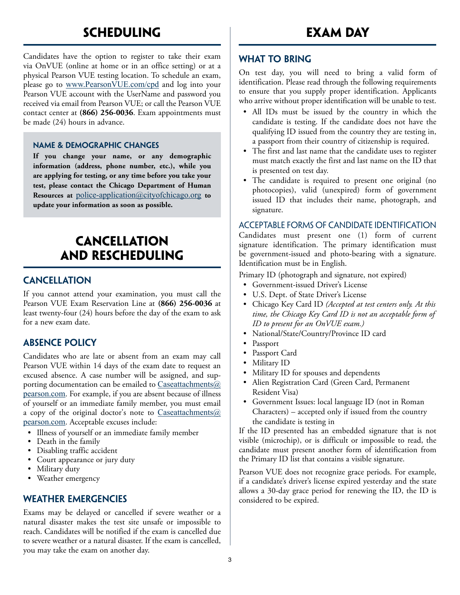### **scheduling**

Candidates have the option to register to take their exam via OnVUE (online at home or in an office setting) or at a physical Pearson VUE testing location. To schedule an exam, please go to [www.PearsonVUE.com/cpd](http://www.PearsonVUE.com/cpd) and log into your Pearson VUE account with the UserName and password you received via email from Pearson VUE; or call the Pearson VUE contact center at **(866) 256-0036**. Exam appointments must be made (24) hours in advance.

### **NAME & DEMOGRAPHIC CHANGES**

**If you change your name, or any demographic information (address, phone number, etc.), while you are applying for testing, or any time before you take your test, please contact the Chicago Department of Human Resources at** [police-application@cityofchicago.org](mailto:police-application%40cityofchicago.org?subject=) **to update your information as soon as possible.** 

### **cancellation and rescheduling**

### **CANCELLATION**

If you cannot attend your examination, you must call the Pearson VUE Exam Reservation Line at **(866) 256-0036** at least twenty-four (24) hours before the day of the exam to ask for a new exam date.

### **ABSENCE POLICY**

Candidates who are late or absent from an exam may call Pearson VUE within 14 days of the exam date to request an excused absence. A case number will be assigned, and supporting documentation can be emailed to  $\text{Caseattachments}(\hat{a})$ [pearson.com](mailto:Caseattachments%40pearson.com?subject=). For example, if you are absent because of illness of yourself or an immediate family member, you must email a copy of the original doctor's note to [Caseattachments@](mailto:Caseattachments%40pearson.com?subject=) [pearson.com](mailto:Caseattachments%40pearson.com?subject=). Acceptable excuses include:

- Illness of yourself or an immediate family member
- Death in the family
- Disabling traffic accident
- Court appearance or jury duty
- Military duty
- Weather emergency

### **WEATHER EMERGENCIES**

Exams may be delayed or cancelled if severe weather or a natural disaster makes the test site unsafe or impossible to reach. Candidates will be notified if the exam is cancelled due to severe weather or a natural disaster. If the exam is cancelled, you may take the exam on another day.

### **WHAT TO BRING**

On test day, you will need to bring a valid form of identification. Please read through the following requirements to ensure that you supply proper identification. Applicants who arrive without proper identification will be unable to test.

- All IDs must be issued by the country in which the candidate is testing. If the candidate does not have the qualifying ID issued from the country they are testing in, a passport from their country of citizenship is required.
- The first and last name that the candidate uses to register must match exactly the first and last name on the ID that is presented on test day.
- The candidate is required to present one original (no photocopies), valid (unexpired) form of government issued ID that includes their name, photograph, and signature.

### Acceptable Forms of Candidate Identification

Candidates must present one (1) form of current signature identification. The primary identification must be government-issued and photo-bearing with a signature. Identification must be in English.

Primary ID (photograph and signature, not expired)

- Government-issued Driver's License
- U.S. Dept. of State Driver's License
- Chicago Key Card ID *(Accepted at test centers only. At this time, the Chicago Key Card ID is not an acceptable form of ID to present for an OnVUE exam.)*
- National/State/Country/Province ID card
- Passport
- Passport Card
- Military ID
- Military ID for spouses and dependents
- Alien Registration Card (Green Card, Permanent Resident Visa)
- Government Issues: local language ID (not in Roman Characters) – accepted only if issued from the country the candidate is testing in

If the ID presented has an embedded signature that is not visible (microchip), or is difficult or impossible to read, the candidate must present another form of identification from the Primary ID list that contains a visible signature.

Pearson VUE does not recognize grace periods. For example, if a candidate's driver's license expired yesterday and the state allows a 30-day grace period for renewing the ID, the ID is considered to be expired.